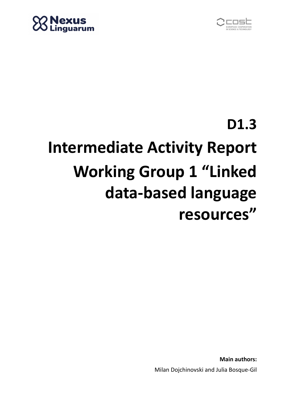



# **D1.3 Intermediate Activity Report Working Group 1 "Linked data-based language resources"**

**Main authors:** Milan Dojchinovski and Julia Bosque-Gil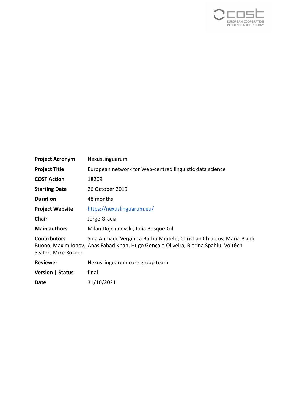

| <b>Project Acronym</b>                     | NexusLinguarum                                                                                                                                                 |
|--------------------------------------------|----------------------------------------------------------------------------------------------------------------------------------------------------------------|
| <b>Project Title</b>                       | European network for Web-centred linguistic data science                                                                                                       |
| <b>COST Action</b>                         | 18209                                                                                                                                                          |
| <b>Starting Date</b>                       | 26 October 2019                                                                                                                                                |
| <b>Duration</b>                            | 48 months                                                                                                                                                      |
| <b>Project Website</b>                     | https://nexuslinguarum.eu/                                                                                                                                     |
| <b>Chair</b>                               | Jorge Gracia                                                                                                                                                   |
| <b>Main authors</b>                        | Milan Dojchinovski, Julia Bosque-Gil                                                                                                                           |
| <b>Contributors</b><br>Svátek, Mike Rosner | Sina Ahmadi, Verginica Barbu Mititelu, Christian Chiarcos, Maria Pia di<br>Buono, Maxim Ionov, Anas Fahad Khan, Hugo Gonçalo Oliveira, Blerina Spahiu, Vojtěch |
| <b>Reviewer</b>                            | NexusLinguarum core group team                                                                                                                                 |
| Version   Status                           | final                                                                                                                                                          |
| Date                                       | 31/10/2021                                                                                                                                                     |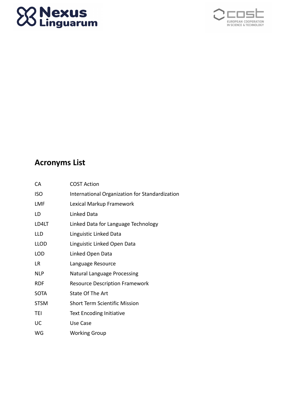



## **Acronyms List**

| CA          | <b>COST Action</b>                             |
|-------------|------------------------------------------------|
| <b>ISO</b>  | International Organization for Standardization |
| <b>LMF</b>  | Lexical Markup Framework                       |
| LD          | Linked Data                                    |
| LD4LT       | Linked Data for Language Technology            |
| LLD         | Linguistic Linked Data                         |
| <b>LLOD</b> | Linguistic Linked Open Data                    |
| <b>LOD</b>  | Linked Open Data                               |
| LR.         | Language Resource                              |
| <b>NLP</b>  | <b>Natural Language Processing</b>             |
| <b>RDF</b>  | <b>Resource Description Framework</b>          |
| <b>SOTA</b> | State Of The Art                               |
| <b>STSM</b> | <b>Short Term Scientific Mission</b>           |
| TEI         | <b>Text Encoding Initiative</b>                |
| UC          | Use Case                                       |
| WG          | <b>Working Group</b>                           |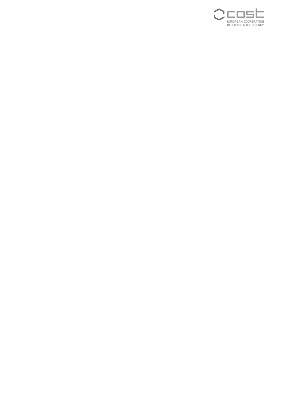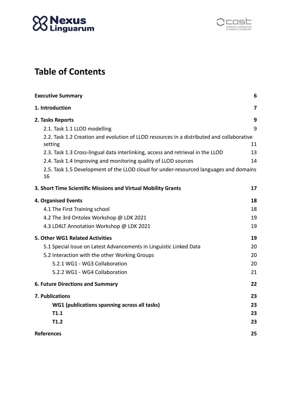



# **Table of Contents**

| <b>Executive Summary</b>                                                                             | 6                       |
|------------------------------------------------------------------------------------------------------|-------------------------|
| 1. Introduction                                                                                      | $\overline{\mathbf{z}}$ |
| 2. Tasks Reports                                                                                     | 9                       |
| 2.1. Task 1.1 LLOD modelling                                                                         | 9                       |
| 2.2. Task 1.2 Creation and evolution of LLOD resources in a distributed and collaborative<br>setting | 11                      |
| 2.3. Task 1.3 Cross-lingual data interlinking, access and retrieval in the LLOD                      | 13                      |
| 2.4. Task 1.4 Improving and monitoring quality of LLOD sources                                       | 14                      |
| 2.5. Task 1.5 Development of the LLOD cloud for under-resourced languages and domains<br>16          |                         |
| 3. Short Time Scientific Missions and Virtual Mobility Grants                                        | 17                      |
| <b>4. Organised Events</b>                                                                           | 18                      |
| 4.1 The First Training school                                                                        | 18                      |
| 4.2 The 3rd Ontolex Workshop @ LDK 2021                                                              | 19                      |
| 4.3 LD4LT Annotation Workshop @ LDK 2021                                                             | 19                      |
| 5. Other WG1 Related Activities                                                                      | 19                      |
| 5.1 Special Issue on Latest Advancements in Linguistic Linked Data                                   | 20                      |
| 5.2 Interaction with the other Working Groups                                                        | 20                      |
| 5.2.1 WG1 - WG3 Collaboration                                                                        | 20                      |
| 5.2.2 WG1 - WG4 Collaboration                                                                        | 21                      |
| <b>6. Future Directions and Summary</b>                                                              | 22                      |
| 7. Publications                                                                                      | 23                      |
| WG1 (publications spanning across all tasks)                                                         | 23                      |
| T1.1                                                                                                 | 23                      |
| T1.2                                                                                                 | 23                      |
| <b>References</b>                                                                                    | 25                      |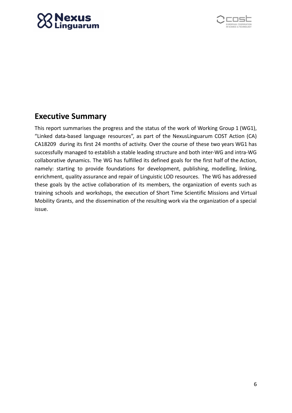



### <span id="page-5-0"></span>**Executive Summary**

This report summarises the progress and the status of the work of Working Group 1 (WG1), "Linked data-based language resources", as part of the NexusLinguarum COST Action (CA) CA18209 during its first 24 months of activity. Over the course of these two years WG1 has successfully managed to establish a stable leading structure and both inter-WG and intra-WG collaborative dynamics. The WG has fulfilled its defined goals for the first half of the Action, namely: starting to provide foundations for development, publishing, modelling, linking, enrichment, quality assurance and repair of Linguistic LOD resources. The WG has addressed these goals by the active collaboration of its members, the organization of events such as training schools and workshops, the execution of Short Time Scientific Missions and Virtual Mobility Grants, and the dissemination of the resulting work via the organization of a special issue.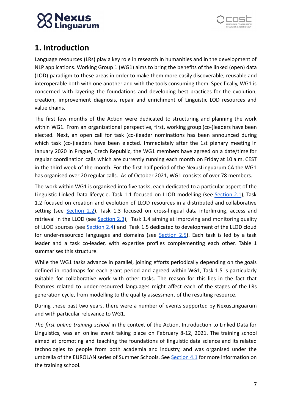



### <span id="page-6-0"></span>**1. Introduction**

Language resources (LRs) play a key role in research in humanities and in the development of NLP applications. Working Group 1 (WG1) aims to bring the benefits of the linked (open) data (LOD) paradigm to these areas in order to make them more easily discoverable, reusable and interoperable both with one another and with the tools consuming them. Specifically, WG1 is concerned with layering the foundations and developing best practices for the evolution, creation, improvement diagnosis, repair and enrichment of Linguistic LOD resources and value chains.

The first few months of the Action were dedicated to structuring and planning the work within WG1. From an organizational perspective, first, working group (co-)leaders have been elected. Next, an open call for task (co-)leader nominations has been announced during which task (co-)leaders have been elected. Immediately after the 1st plenary meeting in January 2020 in Prague, Czech Republic, the WG1 members have agreed on a date/time for regular coordination calls which are currently running each month on Friday at 10 a.m. CEST in the third week of the month. For the first half period of the NexusLinguarum CA the WG1 has organised over 20 regular calls. As of October 2021, WG1 consists of over 78 members.

The work within WG1 is organised into five tasks, each dedicated to a particular aspect of the Linguistic Linked Data lifecycle. Task 1.1 focused on LLOD modelling (see [Section](#page-8-1) 2.1), Task 1.2 focused on creation and evolution of LLOD resources in a distributed and collaborative setting (see [Section](#page-10-0) 2.2), Task 1.3 focused on cross-lingual data interlinking, access and retrieval in the LLOD (see [Section](#page-12-0) 2.3), Task 1.4 aiming at improving and monitoring quality of LLOD sources (see **[Section](#page-13-0) 2.4)** and Task 1.5 dedicated to development of the LLOD cloud for under-resourced languages and domains (see [Section](#page-15-0) 2.5). Each task is led by a task leader and a task co-leader, with expertise profiles complementing each other. Table 1 summarises this structure.

While the WG1 tasks advance in parallel, joining efforts periodically depending on the goals defined in roadmaps for each grant period and agreed within WG1, Task 1.5 is particularly suitable for collaborative work with other tasks. The reason for this lies in the fact that features related to under-resourced languages might affect each of the stages of the LRs generation cycle, from modelling to the quality assessment of the resulting resource.

During these past two years, there were a number of events supported by NexusLinguarum and with particular relevance to WG1.

*The first online training school* in the context of the Action, [Introduction](http://eurolan.info.uaic.ro/2021/index.html) to Linked Data for [Linguistics,](http://eurolan.info.uaic.ro/2021/index.html) was an online event taking place on February 8-12, 2021. The training school aimed at promoting and teaching the foundations of linguistic data science and its related technologies to people from both academia and industry, and was organised under the umbrella of the EUROLAN series of Summer Schools. See [Section](#page-17-1) 4.1 for more information on the training school.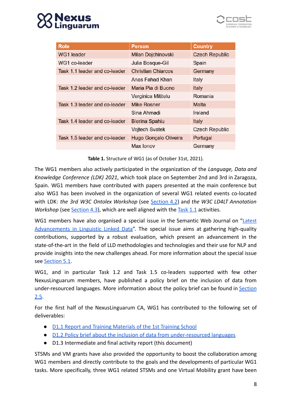



| <b>Role</b>                   | <b>Person</b>         | <b>Country</b>        |  |
|-------------------------------|-----------------------|-----------------------|--|
| WG1 leader                    | Milan Dojchinovski    | <b>Czech Republic</b> |  |
| WG1 co-leader                 | Julia Bosque-Gil      | Spain                 |  |
| Task 1.1 leader and co-leader | Christian Chiarcos    | Germany               |  |
|                               | Anas Fahad Khan       | Italy                 |  |
| Task 1.2 leader and co-leader | Maria Pia di Buono    | <b>Italy</b>          |  |
|                               | Verginica Mititelu    | Romania               |  |
| Task 1.3 leader and co-leader | Mike Rosner           | Malta                 |  |
|                               | Sina Ahmadi           | Ireland               |  |
| Task 1.4 leader and co-leader | <b>Blerina Spahiu</b> | Italy                 |  |
|                               | <b>Vojtech Svatek</b> | <b>Czech Republic</b> |  |
| Task 1.5 leader and co-leader | Hugo Gonçalo Oliveira | Portugal              |  |
|                               | Max Ionov             | Germany               |  |

**Table 1.** Structure of WG1 (as of October 31st, 2021).

The WG1 members also actively participated in the organization of the *Language, Data and Knowledge Conference (LDK) 2021*, which took place on September 2nd and 3rd in Zaragoza, Spain. WG1 members have contributed with papers presented at the main conference but also WG1 has been involved in the organization of several WG1 related events co-located with LDK: *the 3rd W3C Ontolex Workshop* (see [Section](#page-18-0) 4.2) and *the W3C LD4LT Annotation Workshop* (see **[Section 4.3](#page-18-1)**), which are well aligned with the [Task 1.1](#page-8-1) activities.

WG1 members have also organised a special issue in the Semantic Web Journal on ["Latest](http://www.semantic-web-journal.net/blog/call-papers-special-issue-latest-advancements-linguistic-linked-data) [Advancements](http://www.semantic-web-journal.net/blog/call-papers-special-issue-latest-advancements-linguistic-linked-data) in Linguistic Linked Data". The special issue aims at gathering high-quality contributions, supported by a robust evaluation, which present an advancement in the state-of-the-art in the field of LLD methodologies and technologies and their use for NLP and provide insights into the new challenges ahead. For more information about the special issue see [Section 5.1](#page-19-0).

WG1, and in particular Task 1.2 and Task 1.5 co-leaders supported with few other NexusLinguarum members, have published a policy brief on the inclusion of data from under-resourced languages. More information about the policy brief can be found in [Section](#page-15-0) [2.5](#page-15-0).

For the first half of the NexusLinguarum CA, WG1 has contributed to the following set of deliverables:

- [D1.1 Report and Training Materials of the 1st Training School](https://nexuslinguarum.eu/wp-content/uploads/2021/05/D1_final.pdf)
- [D1.2 Policy brief about the inclusion of data from under-resourced languages](https://nexuslinguarum.eu/results/policy-brief)
- D1.3 Intermediate and final activity report (this document)

STSMs and VM grants have also provided the opportunity to boost the collaboration among WG1 members and directly contribute to the goals and the developments of particular WG1 tasks. More specifically, three WG1 related STSMs and one Virtual Mobility grant have been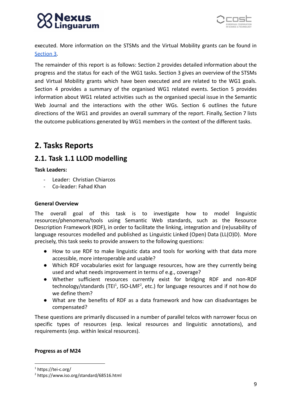



executed. More information on the STSMs and the Virtual Mobility grants can be found in [Section 3.](#page-16-0)

The remainder of this report is as follows: Section 2 provides detailed information about the progress and the status for each of the WG1 tasks. Section 3 gives an overview of the STSMs and Virtual Mobility grants which have been executed and are related to the WG1 goals. Section 4 provides a summary of the organised WG1 related events. Section 5 provides information about WG1 related activities such as the organised special issue in the Semantic Web Journal and the interactions with the other WGs. Section 6 outlines the future directions of the WG1 and provides an overall summary of the report. Finally, Section 7 lists the outcome publications generated by WG1 members in the context of the different tasks.

### <span id="page-8-0"></span>**2. Tasks Reports**

### <span id="page-8-1"></span>**2.1. Task 1.1 LLOD modelling**

**Task Leaders:**

- Leader: Christian Chiarcos
- Co-leader: Fahad Khan

#### **General Overview**

The overall goal of this task is to investigate how to model linguistic resources/phenomena/tools using Semantic Web standards, such as the Resource Description Framework (RDF), in order to facilitate the linking, integration and (re)usability of language resources modelled and published as Linguistic Linked (Open) Data (LL(O)D). More precisely, this task seeks to provide answers to the following questions:

- How to use RDF to make linguistic data and tools for working with that data more accessible, more interoperable and usable?
- Which RDF vocabularies exist for language resources, how are they currently being used and what needs improvement in terms of e.g., coverage?
- Whether sufficient resources currently exist for bridging RDF and non-RDF technology/standards (TEI<sup>1</sup>, ISO-LMF<sup>2</sup>, etc.) for language resources and if not how do we define them?
- What are the benefits of RDF as a data framework and how can disadvantages be compensated?

These questions are primarily discussed in a number of parallel telcos with narrower focus on specific types of resources (esp. lexical resources and linguistic annotations), and requirements (esp. within lexical resources).

#### **Progress as of M24**

<sup>1</sup> https://tei-c.org/

<sup>2</sup> https://www.iso.org/standard/68516.html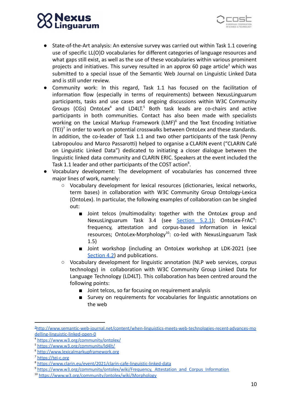

- State-of-the-Art analysis: An extensive survey was carried out within Task 1.1 covering use of specific LL(O)D vocabularies for different categories of language resources and what gaps still exist, as well as the use of these vocabularies within various prominent projects and initiatives. This survey resulted in an approx 60 page article<sup>3</sup> which was submitted to a special issue of the Semantic Web Journal on Linguistic Linked Data and is still under review.
- Community work: In this regard, Task 1.1 has focused on the facilitation of information flow (especially in terms of requirements) between NexusLinguarum participants, tasks and use cases and ongoing discussions within W3C Community Groups (CGs) OntoLex<sup>4</sup> and LD4LT.<sup>5</sup> Both task leads are co-chairs and active participants in both communities. Contact has also been made with specialists working on the Lexical Markup Framework (LMF)<sup>6</sup> and the Text Encoding Initiative (TEI) $^7$  in order to work on potential crosswalks between OntoLex and these standards. In addition, the co-leader of Task 1.1 and two other participants of the task (Penny Labropoulou and Marco Passarotti) helped to organise a CLARIN event ("CLARIN Café on Linguistic Linked Data") dedicated to initiating a closer dialogue between the linguistic linked data community and CLARIN ERIC. Speakers at the event included the Task 1.1 leader and other participants of the COST action<sup>8</sup>.
- Vocabulary development: The development of vocabularies has concerned three major lines of work, namely:
	- Vocabulary development for lexical resources (dictionaries, lexical networks, term bases) in collaboration with W3C Community Group Ontology-Lexica (OntoLex). In particular, the following examples of collaboration can be singled out:
		- Joint telcos (multimodality: together with the OntoLex group and NexusLinguarum Task 3.4 (see <u>[Section](#page-19-2) 5.2.1</u>); OntoLex-FrAC<sup>9</sup>: frequency, attestation and corpus-based information in lexical resources; OntoLex-Morphology<sup>10</sup>: co-led with NexusLinguarum Task 1.5)
		- Joint workshop (including an OntoLex workshop at LDK-2021 (see [Section 4.2\)](#page-18-0) and publications.
	- Vocabulary development for linguistic annotation (NLP web services, corpus technology) in collaboration with W3C Community Group Linked Data for Language Technology (LD4LT). This collaboration has been centred around the following points:
		- Joint telcos, so far focusing on requirement analysis
		- Survey on requirements for vocabularies for linguistic annotations on the web

<sup>3</sup>[http://www.semantic-web-journal.net/content/when-linguistics-meets-web-technologies-recent-advances-mo](http://www.semantic-web-journal.net/content/when-linguistics-meets-web-technologies-recent-advances-modelling-linguistic-linked-open-0) [delling-linguistic-linked-open-0](http://www.semantic-web-journal.net/content/when-linguistics-meets-web-technologies-recent-advances-modelling-linguistic-linked-open-0)

<sup>4</sup> <https://www.w3.org/community/ontolex/>

<sup>5</sup> <https://www.w3.org/community/ld4lt/>

<sup>6</sup> <http://www.lexicalmarkupframework.org>

<sup>7</sup> <https://tei-c.org>

<sup>8</sup> <https://www.clarin.eu/event/2021/clarin-cafe-linguistic-linked-data>

<sup>9</sup> https://www.w3.org/community/ontolex/wiki/Frequency, Attestation and Corpus Information

<sup>10</sup> <https://www.w3.org/community/ontolex/wiki/Morphology>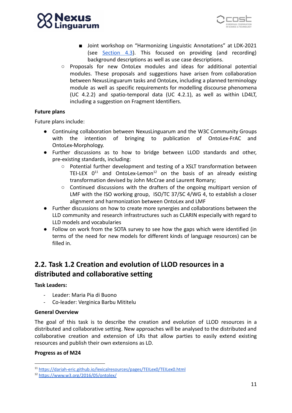



- Joint workshop on "Harmonizing Linguistic Annotations" at LDK-2021 (see [Section](#page-18-1) 4.3). This focused on providing (and recording) background descriptions as well as use case descriptions.
- Proposals for new OntoLex modules and ideas for additional potential modules. These proposals and suggestions have arisen from collaboration between NexusLinguarum tasks and OntoLex, including a planned terminology module as well as specific requirements for modelling discourse phenomena (UC 4.2.2) and spatio-temporal data (UC 4.2.1), as well as within LD4LT, including a suggestion on Fragment Identifiers.

#### **Future plans**

Future plans include:

- Continuing collaboration between NexusLinguarum and the W3C Community Groups with the intention of bringing to publication of OntoLex-FrAC and OntoLex-Morphology.
- Further discussions as to how to bridge between LLOD standards and other, pre-existing standards, including:
	- Potential further development and testing of a XSLT transformation between TEI-LEX  $0^{11}$  and OntoLex-Lemon<sup>12</sup> on the basis of an already existing transformation devised by John McCrae and Laurent Romary;
	- Continued discussions with the drafters of the ongoing multipart version of LMF with the ISO working group, ISO/TC 37/SC 4/WG 4, to establish a closer alignment and harmonization between OntoLex and LMF
- Further discussions on how to create more synergies and collaborations between the LLD community and research infrastructures such as CLARIN especially with regard to LLD models and vocabularies
- Follow on work from the SOTA survey to see how the gaps which were identified (in terms of the need for new models for different kinds of language resources) can be filled in.

### <span id="page-10-0"></span>**2.2. Task 1.2 Creation and evolution of LLOD resources in a distributed and collaborative setting**

#### **Task Leaders:**

- Leader: Maria Pia di Buono
- Co-leader: Verginica Barbu Mititelu

#### **General Overview**

The goal of this task is to describe the creation and evolution of LLOD resources in a distributed and collaborative setting. New approaches will be analysed to the distributed and collaborative creation and extension of LRs that allow parties to easily extend existing resources and publish their own extensions as LD.

#### **Progress as of M24**

<sup>11</sup> <https://dariah-eric.github.io/lexicalresources/pages/TEILex0/TEILex0.html>

<sup>12</sup> <https://www.w3.org/2016/05/ontolex/>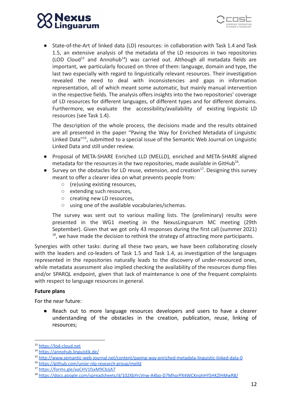



● State-of-the-Art of linked data (LD) resources: in collaboration with Task 1.4 and Task 1.5, an extensive analysis of the metadata of the LD resources in two repositories (LOD Cloud<sup>13</sup> and Annohub<sup>14</sup>) was carried out. Although all metadata fields are important, we particularly focused on three of them: language, domain and type, the last two especially with regard to linguistically relevant resources. Their investigation revealed the need to deal with inconsistencies and gaps in information representation, all of which meant some automatic, but mainly manual intervention in the respective fields. The analysis offers insights into the two repositories' coverage of LD resources for different languages, of different types and for different domains. Furthermore, we evaluate the accessibility/availability of existing linguistic LD resources (see Task 1.4).

The description of the whole process, the decisions made and the results obtained are all presented in the paper "Paving the Way for Enriched Metadata of Linguistic Linked Data<sup>"15</sup>, submitted to a special issue of the Semantic Web Journal on Linguistic Linked Data and still under review.

- Proposal of META-SHARE Enriched LLD (MELLD), enriched and META-SHARE aligned metadata for the resources in the two repositories, made available in GitHub<sup>16</sup>.
- Survey on the obstacles for LD reuse, extension, and creation<sup>17</sup>. Designing this survey meant to offer a clearer idea on what prevents people from:
	- (re)using existing resources,
	- extending such resources,
	- creating new LD resources,
	- using one of the available vocabularies/schemas.

The survey was sent out to various mailing lists. The (preliminary) results were presented in the WG1 meeting in the NexusLinguarum MC meeting (29th September). Given that we got only 43 responses during the first call (summer 2021)  $18$ , we have made the decision to rethink the strategy of attracting more participants.

Synergies with other tasks: during all these two years, we have been collaborating closely with the leaders and co-leaders of Task 1.5 and Task 1.4, as investigation of the languages represented in the repositories naturally leads to the discovery of under-resourced ones, while metadata assessment also implied checking the availability of the resources dump files and/or SPARQL endpoint, given that lack of maintenance is one of the frequent complaints with respect to language resources in general.

#### **Future plans**

For the near future:

● Reach out to more language resources developers and users to have a clearer understanding of the obstacles in the creation, publication, reuse, linking of resources;

<sup>13</sup> <https://lod-cloud.net>

<sup>14</sup> <https://annohub.linguistik.de/>

<sup>15</sup> <http://www.semantic-web-journal.net/content/paving-way-enriched-metadata-linguistic-linked-data-0>

<sup>16</sup> <https://github.com/unior-nlp-research-group/melld>

<sup>17</sup> <https://forms.gle/aaCHV1fsxM9CbJjA7>

<sup>18</sup> <https://docs.google.com/spreadsheets/d/102XbYrcVnw-A4bo-D7MhorPX4WCKnohHYSHKZlHMwR8/>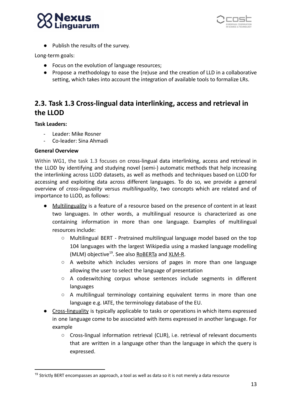



● Publish the results of the survey.

Long-term goals:

- Focus on the evolution of language resources;
- Propose a methodology to ease the (re)use and the creation of LLD in a collaborative setting, which takes into account the integration of available tools to formalize LRs.

### <span id="page-12-0"></span>**2.3. Task 1.3 Cross-lingual data interlinking, access and retrieval in the LLOD**

**Task Leaders:**

- Leader: Mike Rosner
- Co-leader: Sina Ahmadi

#### **General Overview**

Within WG1, the task 1.3 focuses on cross-lingual data interlinking, access and retrieval in the LLOD by identifying and studying novel (semi-) automatic methods that help increasing the interlinking across LLOD datasets, as well as methods and techniques based on LLOD for accessing and exploiting data across different languages. To do so, we provide a general overview of *cross-linguality* versus *multilinguality*, two concepts which are related and of importance to LLOD, as follows:

- Multilinguality is a feature of a resource based on the presence of content in at least two languages. In other words, a multilingual resource is characterized as one containing information in more than one language. Examples of multilingual resources include:
	- Multilingual BERT Pretrained multilingual language model based on the top 104 languages with the largest Wikipedia using a masked language modelling (MLM) objective<sup>19</sup>. See also **[RoBERTa](https://arxiv.org/abs/1907.11692)** and [XLM-R.](https://arxiv.org/pdf/1911.02116.pdf)
	- A website which includes versions of pages in more than one language allowing the user to select the language of presentation
	- A codeswitching corpus whose sentences include segments in different languages
	- A multilingual terminology containing equivalent terms in more than one language e.g. IATE, the terminology database of the EU.
- Cross-linguality is typically applicable to tasks or operations in which items expressed in one language come to be associated with items expressed in another language. For example
	- $\circ$  Cross-lingual information retrieval (CLIR), i.e. retrieval of relevant documents that are written in a language other than the language in which the query is expressed.

 $19$  Strictly BERT encompasses an approach, a tool as well as data so it is not merely a data resource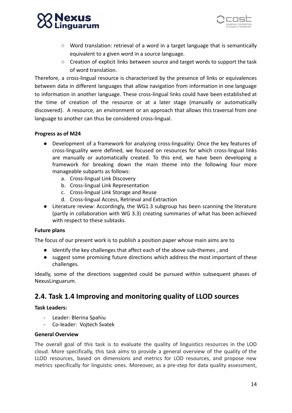



- Word translation: retrieval of a word in a target language that is semantically equivalent to a given word in a source language.
- Creation of explicit links between source and target words to support the task of word translation.

Therefore, a cross-lingual resource is characterized by the presence of links or equivalences between data in different languages that allow navigation from information in one language to information in another language. These cross-lingual links could have been established at the time of creation of the resource or at a later stage (manually or automatically discovered). A resource, an environment or an approach that allows this traversal from one language to another can thus be considered cross-lingual.

#### **Progress as of M24**

- Development of a framework for analyzing cross-linguality: Once the key features of cross-linguality were defined, we focused on resources for which cross-lingual links are manually or automatically created. To this end, we have been developing a framework for breaking down the main theme into the following four more manageable subparts as follows:
	- a. Cross-lingual Link Discovery
	- b. Cross-lingual Link Representation
	- c. Cross-lingual Link Storage and Reuse
	- d. Cross-lingual Access, Retrieval and Extraction
- Literature review: Accordingly, the WG1.3 subgroup has been scanning the literature (partly in collaboration with WG 3.3) creating summaries of what has been achieved with respect to these subtasks.

#### **Future plans**

The focus of our present work is to publish a position paper whose main aims are to

- Identify the key challenges that affect each of the above sub-themes , and
- suggest some promising future directions which address the most important of these challenges.

Ideally, some of the directions suggested could be pursued within subsequent phases of NexusLinguarum.

### <span id="page-13-0"></span>**2.4. Task 1.4 Improving and monitoring quality of LLOD sources**

#### **Task Leaders:**

- Leader: Blerina Spahiu
- Co-leader: Vojtech Svatek

#### **General Overview**

The overall goal of this task is to evaluate the quality of linguistics resources in the LOD cloud. More specifically, this task aims to provide a general overview of the quality of the LLOD resources, based on dimensions and metrics for LOD resources, and propose new metrics specifically for linguistic ones. Moreover, as a pre-step for data quality assessment,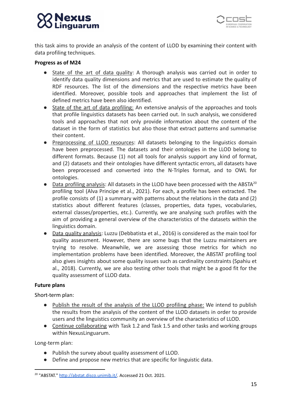

this task aims to provide an analysis of the content of LLOD by examining their content with data profiling techniques.

#### **Progress as of M24**

- State of the art of data quality: A thorough analysis was carried out in order to identify data quality dimensions and metrics that are used to estimate the quality of RDF resources. The list of the dimensions and the respective metrics have been identified. Moreover, possible tools and approaches that implement the list of defined metrics have been also identified.
- State of the art of data profiling: An extensive analysis of the approaches and tools that profile linguistics datasets has been carried out. In such analysis, we considered tools and approaches that not only provide information about the content of the dataset in the form of statistics but also those that extract patterns and summarise their content.
- Preprocessing of LLOD resources: All datasets belonging to the linguistics domain have been preprocessed. The datasets and their ontologies in the LLOD belong to different formats. Because (1) not all tools for analysis support any kind of format, and (2) datasets and their ontologies have different syntactic errors, all datasets have been preprocessed and converted into the N-Triples format, and to OWL for ontologies.
- $\bullet$  Data profiling analysis: All datasets in the LLOD have been processed with the ABSTA<sup>20</sup> profiling tool (Alva Principe et al., 2021). For each, a profile has been extracted. The profile consists of (1) a summary with patterns about the relations in the data and (2) statistics about different features (classes, properties, data types, vocabularies, external classes/properties, etc.). Currently, we are analysing such profiles with the aim of providing a general overview of the characteristics of the datasets within the linguistics domain.
- Data quality analysis: Luzzu (Debbatista et al., 2016) is considered as the main tool for quality assessment. However, there are some bugs that the Luzzu maintainers are trying to resolve. Meanwhile, we are assessing those metrics for which no implementation problems have been identified. Moreover, the ABSTAT profiling tool also gives insights about some quality issues such as cardinality constraints (Spahiu et al., 2018). Currently, we are also testing other tools that might be a good fit for the quality assessment of LLOD data.

#### **Future plans**

Short-term plan:

- Publish the result of the analysis of the LLOD profiling phase: We intend to publish the results from the analysis of the content of the LLOD datasets in order to provide users and the linguistics community an overview of the characteristics of LLOD.
- Continue collaborating with Task 1.2 and Task 1.5 and other tasks and working groups within NexusLinguarum.

Long-term plan:

- Publish the survey about quality assessment of LLOD.
- Define and propose new metrics that are specific for linguistic data.

<sup>&</sup>lt;sup>20</sup> "ABSTAT." <http://abstat.disco.unimib.it/>. Accessed 21 Oct. 2021.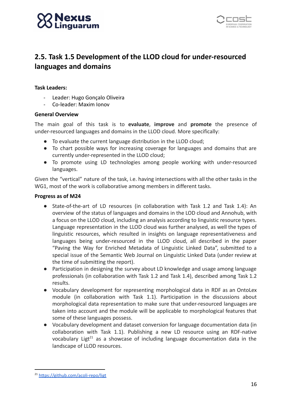



### <span id="page-15-0"></span>**2.5. Task 1.5 Development of the LLOD cloud for under-resourced languages and domains**

#### **Task Leaders:**

- Leader: Hugo Goncalo Oliveira
- Co-leader: Maxim Ionov

#### **General Overview**

The main goal of this task is to **evaluate**, **improve** and **promote** the presence of under-resourced languages and domains in the LLOD cloud. More specifically:

- To evaluate the current language distribution in the LLOD cloud;
- To chart possible ways for increasing coverage for languages and domains that are currently under-represented in the LLOD cloud;
- To promote using LD technologies among people working with under-resourced languages.

Given the "vertical" nature of the task, i.e. having intersections with all the other tasks in the WG1, most of the work is collaborative among members in different tasks.

#### **Progress as of M24**

- State-of-the-art of LD resources (in collaboration with Task 1.2 and Task 1.4): An overview of the status of languages and domains in the LOD cloud and Annohub, with a focus on the LLOD cloud, including an analysis according to linguistic resource types. Language representation in the LLOD cloud was further analysed, as well the types of linguistic resources, which resulted in insights on language representativeness and languages being under-resourced in the LLOD cloud, all described in the paper "Paving the Way for Enriched Metadata of Linguistic Linked Data", submitted to a special issue of the Semantic Web Journal on Linguistic Linked Data (under review at the time of submitting the report).
- Participation in designing the survey about LD knowledge and usage among language professionals (in collaboration with Task 1.2 and Task 1.4), described among Task 1.2 results.
- Vocabulary development for representing morphological data in RDF as an OntoLex module (in collaboration with Task 1.1). Participation in the discussions about morphological data representation to make sure that under-resourced languages are taken into account and the module will be applicable to morphological features that some of these languages possess.
- Vocabulary development and dataset conversion for language documentation data (in collaboration with Task 1.1). Publishing a new LD resource using an RDF-native vocabulary Ligt<sup>21</sup> as a showcase of including language documentation data in the landscape of LLOD resources.

<sup>21</sup> <https://github.com/acoli-repo/ligt>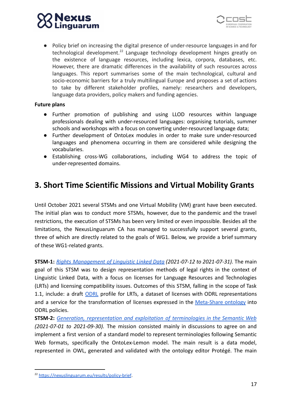



● Policy brief on increasing the digital presence of under-resource languages in and for technological development.<sup>22</sup> Language technology development hinges greatly on the existence of language resources, including lexica, corpora, databases, etc. However, there are dramatic differences in the availability of such resources across languages. This report summarises some of the main technological, cultural and socio-economic barriers for a truly multilingual Europe and proposes a set of actions to take by different stakeholder profiles, namely: researchers and developers, language data providers, policy makers and funding agencies.

#### **Future plans**

- Further promotion of publishing and using LLOD resources within language professionals dealing with under-resourced languages: organising tutorials, summer schools and workshops with a focus on converting under-resourced language data;
- Further development of OntoLex modules in order to make sure under-resourced languages and phenomena occurring in them are considered while designing the vocabularies.
- Establishing cross-WG collaborations, including WG4 to address the topic of under-represented domains.

### <span id="page-16-0"></span>**3. Short Time Scientific Missions and Virtual Mobility Grants**

Until October 2021 several STSMs and one Virtual Mobility (VM) grant have been executed. The initial plan was to conduct more STSMs, however, due to the pandemic and the travel restrictions, the execution of STSMs has been very limited or even impossible. Besides all the limitations, the NexusLinguarum CA has managed to successfully support several grants, three of which are directly related to the goals of WG1. Below, we provide a brief summary of these WG1-related grants.

**STSM-1:** *Rights [Management](https://nexuslinguarum.eu/wp-content/uploads/2021/11/Scientific-report-VictorRodriguezDoncel_app9.pdf) of Linguistic Linked Data (2021-07-12 to 2021-07-31).* The main goal of this STSM was to design representation methods of legal rights in the context of Linguistic Linked Data, with a focus on licenses for Language Resources and Technologies (LRTs) and licensing compatibility issues. Outcomes of this STSM, falling in the scope of Task 1.1, include: a draft [ODRL](https://www.w3.org/TR/2018/REC-odrl-model-20180215/) profile for LRTs, a dataset of licenses with ODRL representations and a service for the transformation of licenses expressed in the [Meta-Share](http://w3id.org/meta-share/meta-share) ontology into ODRL policies.

**STSM-2:** *Generation, [representation](https://nexuslinguarum.eu/wp-content/uploads/2021/11/Scientific-report-PatriciaMartinChozas_app6.pdf) and exploitation of terminologies in the Semantic Web (2021-07-01 to 2021-09-30).* The mission consisted mainly in discussions to agree on and implement a first version of a standard model to represent terminologies following Semantic Web formats, specifically the OntoLex-Lemon model. The main result is a data model, represented in OWL, generated and validated with the ontology editor Protégé. The main

<sup>22</sup> <https://nexuslinguarum.eu/results/policy-brief>.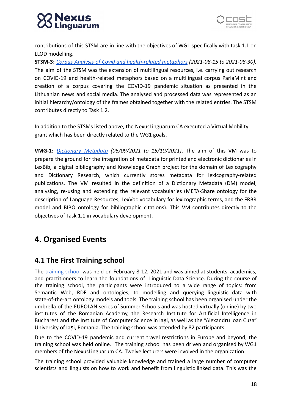



contributions of this STSM are in line with the objectives of WG1 specifically with task 1.1 on LLOD modelling.

**STSM-3:** *Corpus Analysis of Covid and [health-related](https://nexuslinguarum.eu/wp-content/uploads/2021/11/Scientific-report-LiudmilaMockiene_app7.pdf) metaphors (2021-08-15 to 2021-08-30).* The aim of the STSM was the extension of multilingual resources, i.e. carrying out research on COVID-19 and health-related metaphors based on a multilingual corpus ParlaMint and creation of a corpus covering the COVID-19 pandemic situation as presented in the Lithuanian news and social media. The analysed and processed data was represented as an initial hierarchy/ontology of the frames obtained together with the related entries. The STSM contributes directly to Task 1.2.

In addition to the STSMs listed above, the NexusLinguarum CA executed a Virtual Mobility grant which has been directly related to the WG1 goals.

**VMG-1:** *[Dictionary](https://nexuslinguarum.eu/wp-content/uploads/2021/11/ScientificReport_-VM-grant_Lindemann.pdf) Metadata (06/09/2021 to 15/10/2021)*. The aim of this VM was to prepare the ground for the integration of metadata for printed and electronic dictionaries in LexBib, a digital bibliography and Knowledge Graph project for the domain of Lexicography and Dictionary Research, which currently stores metadata for lexicography-related publications. The VM resulted in the definition of a Dictionary Metadata (DM) model, analysing, re-using and extending the relevant vocabularies (META-Share ontology for the description of Language Resources, LexVoc vocabulary for lexicographic terms, and the FRBR model and BIBO ontology for bibliographic citations). This VM contributes directly to the objectives of Task 1.1 in vocabulary development.

### <span id="page-17-0"></span>**4. Organised Events**

### <span id="page-17-1"></span>**4.1 The First Training school**

The [training](http://eurolan.info.uaic.ro/2021/) school was held on February 8-12, 2021 and was aimed at students, academics, and practitioners to learn the foundations of Linguistic Data Science. During the course of the training school, the participants were introduced to a wide range of topics: from Semantic Web, RDF and ontologies, to modelling and querying linguistic data with state-of-the-art ontology models and tools. The training school has been organised under the umbrella of the EUROLAN series of Summer Schools and was hosted virtually (online) by two institutes of the Romanian Academy, the Research Institute for Artificial Intelligence in Bucharest and the Institute of Computer Science in Iasi, as well as the "Alexandru Ioan Cuza" University of Iași, Romania. The training school was attended by 82 participants.

Due to the COVID-19 pandemic and current travel restrictions in Europe and beyond, the training school was held online. The training school has been driven and organised by WG1 members of the NexusLinguarum CA. Twelve lecturers were involved in the organization.

The training school provided valuable knowledge and trained a large number of computer scientists and linguists on how to work and benefit from linguistic linked data. This was the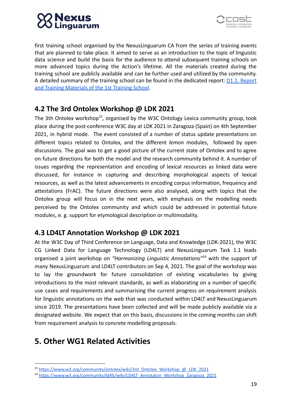



first training school organised by the NexusLinguarum CA from the series of training events that are planned to take place. It aimed to serve as an introduction to the topic of linguistic data science and build the basis for the audience to attend subsequent training schools on more advanced topics during the Action's lifetime. All the materials created during the training school are publicly available and can be further used and utilized by the community. A detailed summary of the training school can be found in the dedicated report: D1.1. [Report](https://nexuslinguarum.eu/wp-content/uploads/2021/05/D1_final.pdf) [and Training Materials of the 1st Training School](https://nexuslinguarum.eu/wp-content/uploads/2021/05/D1_final.pdf).

### <span id="page-18-0"></span>**4.2 The 3rd Ontolex Workshop @ LDK 2021**

The 3th Ontolex workshop<sup>23</sup>, organised by the W3C Ontology Lexica community group, took place during the post-conference W3C day at LDK 2021 in Zaragoza (Spain) on 4th September 2021, in hybrid mode. The event consisted of a number of status update presentations on different topics related to Ontolex, and the different *lemon* modules, followed by open discussions. The goal was to get a good picture of the current state of Ontolex and to agree on future directions for both the model and the research community behind it. A number of issues regarding the representation and encoding of lexical resources as linked data were discussed, for instance in capturing and describing morphological aspects of lexical resources, as well as the latest advancements in encoding corpus information, frequency and attestations (FrAC). The future directions were also analysed, along with topics that the Ontolex group will focus on in the next years, with emphasis on the modelling needs perceived by the Ontolex community and which could be addressed in potential future modules, e. g. support for etymological description or multimodality.

### <span id="page-18-1"></span>**4.3 LD4LT Annotation Workshop @ LDK 2021**

At the W3C Day of Third Conference on Language, Data and Knowledge (LDK-2021), the W3C CG Linked Data for Language Technology (LD4LT) and NexusLinguarum Task 1.1 leads organised a joint workshop on "Harmonizing Linguistic Annotations"<sup>24</sup> with the support of many NexusLinguarum and LD4LT contributors on Sep 4, 2021. The goal of the workshop was to lay the groundwork for future consolidation of existing vocabularies by giving introductions to the most relevant standards, as well as elaborating on a number of specific use cases and requirements and summarising the current progress on requirement analysis for linguistic annotations on the web that was conducted within LD4LT and NexusLinguarum since 2019. The presentations have been collected and will be made publicly available via a designated website. We expect that on this basis, discussions in the coming months can shift from requirement analysis to concrete modelling proposals.

### <span id="page-18-2"></span>**5. Other WG1 Related Activities**

<sup>&</sup>lt;sup>23</sup> [https://www.w3.org/community/ontolex/wiki/3rd\\_Ontolex\\_Workshop\\_@\\_LDK\\_2021](https://www.w3.org/community/ontolex/wiki/3rd_Ontolex_Workshop_@_LDK_2021)

<sup>&</sup>lt;sup>24</sup> [https://www.w3.org/community/ld4lt/wiki/LD4LT\\_Annotaton\\_Workshop\\_Zaragoza\\_2021](https://www.w3.org/community/ld4lt/wiki/LD4LT_Annotaton_Workshop_Zaragoza_2021)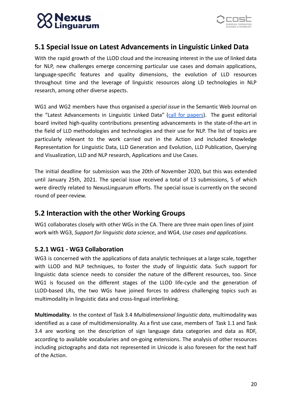



### <span id="page-19-0"></span>**5.1 Special Issue on Latest Advancements in Linguistic Linked Data**

With the rapid growth of the LLOD cloud and the increasing interest in the use of linked data for NLP, new challenges emerge concerning particular use cases and domain applications, language-specific features and quality dimensions, the evolution of LLD resources throughout time and the leverage of linguistic resources along LD technologies in NLP research, among other diverse aspects.

WG1 and WG2 members have thus organised a *special issue* in the Semantic Web Journal on the "Latest Advancements in Linguistic Linked Data" (call for [papers](http://www.semantic-web-journal.net/blog/call-papers-special-issue-latest-advancements-linguistic-linked-data)). The guest editorial board invited high-quality contributions presenting advancements in the state-of-the-art in the field of LLD methodologies and technologies and their use for NLP. The list of topics are particularly relevant to the work carried out in the Action and included Knowledge Representation for Linguistic Data, LLD Generation and Evolution, LLD Publication, Querying and Visualization, LLD and NLP research, Applications and Use Cases.

The initial deadline for submission was the 20th of November 2020, but this was extended until January 25th, 2021. The special issue received a total of 13 submissions, 5 of which were directly related to NexusLinguarum efforts. The special issue is currently on the second round of peer-review.

### <span id="page-19-1"></span>**5.2 Interaction with the other Working Groups**

WG1 collaborates closely with other WGs in the CA. There are three main open lines of joint work with WG3, *Support for linguistic data science*, and WG4, *Use cases and applications*.

### <span id="page-19-2"></span>**5.2.1 WG1 - WG3 Collaboration**

WG3 is concerned with the applications of data analytic techniques at a large scale, together with LLOD and NLP techniques, to foster the study of linguistic data. Such support for linguistic data science needs to consider the nature of the different resources, too. Since WG1 is focused on the different stages of the LLOD life-cycle and the generation of LLOD-based LRs, the two WGs have joined forces to address challenging topics such as multimodality in linguistic data and cross-lingual interlinking.

**Multimodality**. In the context of Task 3.4 *Multidimensional linguistic data*, multimodality was identified as a case of multidimensionality. As a first use case, members of Task 1.1 and Task 3.4 are working on the description of sign language data categories and data as RDF, according to available vocabularies and on-going extensions. The analysis of other resources including pictographs and data not represented in Unicode is also foreseen for the next half of the Action.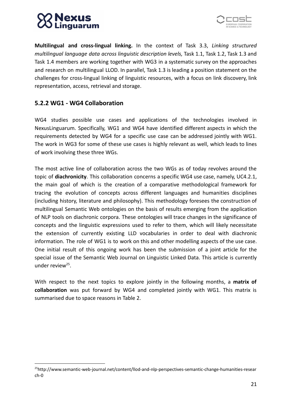



**Multilingual and cross-lingual linking.** In the context of Task 3.3, *Linking structured multilingual language data across linguistic description levels,* Task 1.1, Task 1.2, Task 1.3 and Task 1.4 members are working together with WG3 in a systematic survey on the approaches and research on multilingual LLOD. In parallel, Task 1.3 is leading a position statement on the challenges for cross-lingual linking of linguistic resources, with a focus on link discovery, link representation, access, retrieval and storage.

### <span id="page-20-0"></span>**5.2.2 WG1 - WG4 Collaboration**

WG4 studies possible use cases and applications of the technologies involved in NexusLinguarum. Specifically, WG1 and WG4 have identified different aspects in which the requirements detected by WG4 for a specific use case can be addressed jointly with WG1. The work in WG3 for some of these use cases is highly relevant as well, which leads to lines of work involving these three WGs.

The most active line of collaboration across the two WGs as of today revolves around the topic of **diachronicity**. This collaboration concerns a specific WG4 use case, namely, UC4.2.1, the main goal of which is the creation of a comparative methodological framework for tracing the evolution of concepts across different languages and humanities disciplines (including history, literature and philosophy). This methodology foresees the construction of multilingual Semantic Web ontologies on the basis of results emerging from the application of NLP tools on diachronic corpora. These ontologies will trace changes in the significance of concepts and the linguistic expressions used to refer to them, which will likely necessitate the extension of currently existing LLD vocabularies in order to deal with diachronic information. The role of WG1 is to work on this and other modelling aspects of the use case. One initial result of this ongoing work has been the submission of a joint article for the special issue of the Semantic Web Journal on Linguistic Linked Data. This article is currently under review<sup>25</sup>.

With respect to the next topics to explore jointly in the following months, a **matrix of collaboration** was put forward by WG4 and completed jointly with WG1. This matrix is summarised due to space reasons in Table 2.

<sup>25</sup>http://www.semantic-web-journal.net/content/llod-and-nlp-perspectives-semantic-change-humanities-resear ch-0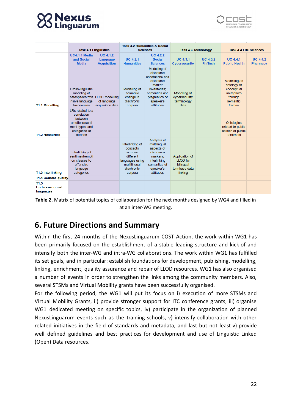



|                                                         | <b>Task 4.1 Linguistics</b>                                                                                |                                                                   | <b>Task 4.2 Humanities &amp; Social</b><br><b>Sciences</b>                                                      |                                                                                                                                                 | <b>Task 4.3 Technology</b>                                                 |                                   | <b>Task 4.4 Life Sciences</b>                                                           |                             |
|---------------------------------------------------------|------------------------------------------------------------------------------------------------------------|-------------------------------------------------------------------|-----------------------------------------------------------------------------------------------------------------|-------------------------------------------------------------------------------------------------------------------------------------------------|----------------------------------------------------------------------------|-----------------------------------|-----------------------------------------------------------------------------------------|-----------------------------|
|                                                         | UC4.1.1 Media<br>and Social<br><b>Media</b>                                                                | <b>UC 4.1.2</b><br><b>Language</b><br><b>Acquisition</b>          | <b>UC 4.2.1</b><br><b>Humanities</b>                                                                            | <b>UC 4.2.2</b><br><b>Social</b><br><b>Sciences</b>                                                                                             | <b>UC 4.3.1</b><br><b>Cybersecurity</b>                                    | <b>UC 4.3.2</b><br><b>FinTech</b> | <b>UC 4.4.1</b><br><b>Public Health</b>                                                 | <b>UC 4.4.2</b><br>Pharmacy |
| <b>T1.1 Modelling</b>                                   | Cross-linguistic<br>modeling of<br>nsive language<br>taxonomies                                            | hatespeech/offe LLOD modelling<br>of language<br>acquisition data | Modelling of<br>semantic<br>change in<br>diachronic<br>corpora                                                  | Modelling of<br>discourse<br>annotations and<br>discourse<br>marker<br>inventories;<br>semantics and<br>pragmatics of<br>speaker's<br>attitudes | Modelling of<br>cybersecurity<br>terminology<br>data                       |                                   | Modelling an<br>ontology of<br>conceptual<br>metaphors<br>through<br>semantic<br>frames |                             |
| <b>T1.2 Resources</b>                                   | LRs related to a<br>correlation<br>between<br>emotions/senti<br>ment types and<br>categories of<br>offence |                                                                   |                                                                                                                 |                                                                                                                                                 |                                                                            |                                   | Ontologies<br>related to public<br>opinion or public<br>sentiment                       |                             |
| T1.3 Interlinking                                       | Interlinking of<br>sentiment/emoti<br>on classes to<br>offensive<br>language<br>categories                 |                                                                   | Interlinking of<br>concepts<br>accross<br>different<br>languages using<br>multilingual<br>diachronic<br>corpora | Analysis of<br>multilingual<br>aspects of<br>discourse<br>markers;<br>interlinking<br>semantics of<br>speaker's<br>attitudes                    | Application of<br><b>LLOD</b> for<br>bilingual<br>termbase data<br>linking |                                   |                                                                                         |                             |
| <b>T1.4 Sources quality</b>                             |                                                                                                            |                                                                   |                                                                                                                 |                                                                                                                                                 |                                                                            |                                   |                                                                                         |                             |
| T <sub>1.5</sub><br><b>Under-resourced</b><br>languages |                                                                                                            |                                                                   |                                                                                                                 |                                                                                                                                                 |                                                                            |                                   |                                                                                         |                             |

**Table 2.** Matrix of potential topics of collaboration for the next months designed by WG4 and filled in at an inter-WG meeting.

### <span id="page-21-0"></span>**6. Future Directions and Summary**

Within the first 24 months of the NexusLinguarum COST Action, the work within WG1 has been primarily focused on the establishment of a stable leading structure and kick-of and intensify both the inter-WG and intra-WG collaborations. The work within WG1 has fulfilled its set goals, and in particular: establish foundations for development, publishing, modelling, linking, enrichment, quality assurance and repair of LLOD resources. WG1 has also organised a number of events in order to strengthen the links among the community members. Also, several STSMs and Virtual Mobility grants have been successfully organised.

For the following period, the WG1 will put its focus on i) execution of more STSMs and Virtual Mobility Grants, ii) provide stronger support for ITC conference grants, iii) organise WG1 dedicated meeting on specific topics, iv) participate in the organization of planned NexusLinguarum events such as the training schools, v) intensify collaboration with other related initiatives in the field of standards and metadata, and last but not least v) provide well defined guidelines and best practices for development and use of Linguistic Linked (Open) Data resources.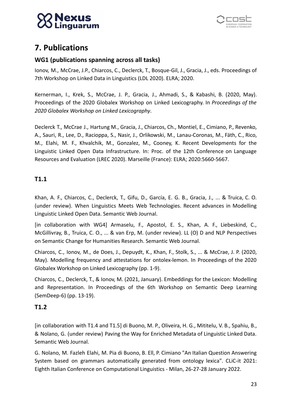



### <span id="page-22-0"></span>**7. Publications**

### <span id="page-22-1"></span>**WG1 (publications spanning across all tasks)**

Ionov, M., McCrae, J.P., Chiarcos, C., Declerck, T., Bosque-Gil, J., Gracia, J., eds. Proceedings of 7th Workshop on Linked Data in Linguistics (LDL 2020). ELRA; 2020.

Kernerman, I., Krek, S., McCrae, J. P., Gracia, J., Ahmadi, S., & Kabashi, B. (2020, May). Proceedings of the 2020 Globalex Workshop on Linked Lexicography. In *Proceedings of the 2020 Globalex Workshop on Linked Lexicography*.

Declerck T., McCrae J., Hartung M., Gracia, J., Chiarcos, Ch., Montiel, E., Cimiano, P., Revenko, A., Sauri, R., Lee, D., Racioppa, S., Nasir, J., Orlikowski, M., Lanau-Coronas, M., Fäth, C., Rico, M., Elahi, M. F., Khvalchik, M., Gonzalez, M., Cooney, K. Recent Developments for the Linguistic Linked Open Data Infrastructure. In: Proc. of the 12th Conference on Language Resources and Evaluation (LREC 2020). Marseille (France): ELRA; 2020:5660-5667.

#### <span id="page-22-2"></span>**T1.1**

Khan, A. F., Chiarcos, C., Declerck, T., Gifu, D., García, E. G. B., Gracia, J., ... & Truica, C. O. (under review). When Linguistics Meets Web Technologies. Recent advances in Modelling Linguistic Linked Open Data. Semantic Web Journal.

[in collaboration with WG4] Armaselu, F., Apostol, E. S., Khan, A. F., Liebeskind, C., McGillivray, B., Truica, C. O., ... & van Erp, M. (under review). LL (O) D and NLP Perspectives on Semantic Change for Humanities Research. Semantic Web Journal.

Chiarcos, C., Ionov, M., de Does, J., Depuydt, K., Khan, F., Stolk, S., ... & McCrae, J. P. (2020, May). Modelling frequency and attestations for ontolex-lemon. In Proceedings of the 2020 Globalex Workshop on Linked Lexicography (pp. 1-9).

Chiarcos, C., Declerck, T., & Ionov, M. (2021, January). Embeddings for the Lexicon: Modelling and Representation. In Proceedings of the 6th Workshop on Semantic Deep Learning (SemDeep-6) (pp. 13-19).

### <span id="page-22-3"></span>**T1.2**

[in collaboration with T1.4 and T1.5] di Buono, M. P., Oliveira, H. G., Mititelu, V. B., Spahiu, B., & Nolano, G. (under review) Paving the Way for Enriched Metadata of Linguistic Linked Data. Semantic Web Journal.

G. Nolano, M. Fazleh Elahi, M. Pia di Buono, B. Ell, P. Cimiano "An Italian Question Answering System based on grammars automatically generated from ontology lexica". CLiC-it 2021: Eighth Italian Conference on Computational Linguistics - Milan, 26-27-28 January 2022.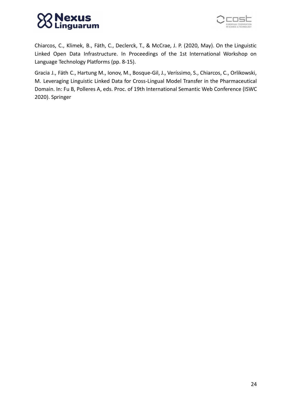



Chiarcos, C., Klimek, B., Fäth, C., Declerck, T., & McCrae, J. P. (2020, May). On the Linguistic Linked Open Data Infrastructure. In Proceedings of the 1st International Workshop on Language Technology Platforms (pp. 8-15).

Gracia J., Fäth C., Hartung M., Ionov, M., Bosque-Gil, J., Veríssimo, S., Chiarcos, C., Orlikowski, M. Leveraging Linguistic Linked Data for Cross-Lingual Model Transfer in the Pharmaceutical Domain. In: Fu B, Polleres A, eds. Proc. of 19th International Semantic Web Conference (ISWC 2020). Springer